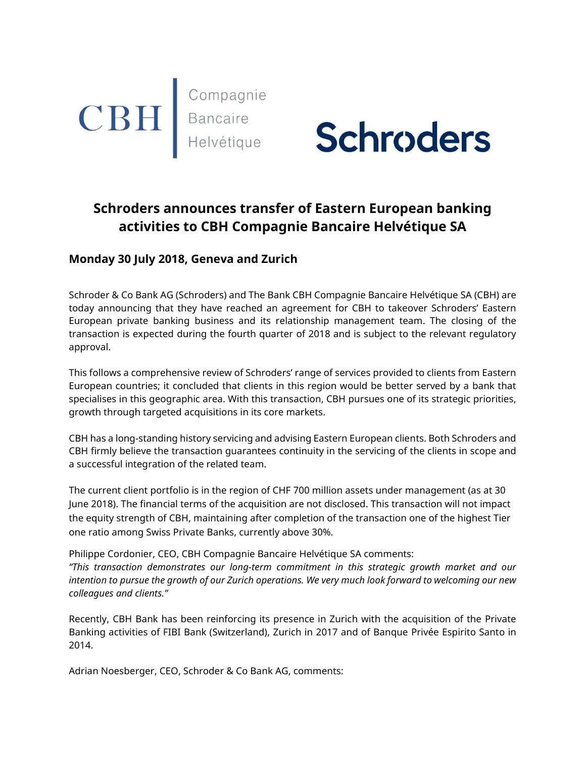



# Schroders announces transfer of Eastern European banking activities to CBH Compagnie Bancaire Helvétique SA

# Monday 30 July 2018, Geneva and Zurich

Schroder & Co Bank AG (Schroders) and The Bank CBH Compagnie Bancaire Helvétique SA (CBH) are today announcing that they have reached an agreement for CBH to takeover Schroders' Eastern European private banking business and its relationship management team. The closing of the transaction is expected during the fourth quarter of 2018 and is subject to the relevant regulatory approval.

This follows a comprehensive review of Schroders' range of services provided to clients from Eastern European countries; it concluded that clients in this region would be better served by a bank that specialises in this geographic area. With this transaction, CBH pursues one of its strategic priorities, growth through targeted acquisitions in its core markets.

CBH has a long-standing history servicing and advising Eastern European clients. Both Schroders and CBH firmly believe the transaction guarantees continuity in the servicing of the clients in scope and a successful integration of the related team.

The current client portfolio is in the region of CHF 700 million assets under management (as at 30 June 2018). The financial terms of the acquisition are not disclosed. This transaction will not impact the equity strength of CBH, maintaining after completion of the transaction one of the highest Tier one ratio among Swiss Private Banks, currently above 30%.

Philippe Cordonier, CEO, CBH Compagnie Bancaire Helvétique SA comments: "This transaction demonstrates our long-term commitment in this strategic growth market and our intention to pursue the growth of our Zurich operations. We very much look forward to welcoming our new colleagues and clients."

Recently, CBH Bank has been reinforcing its presence in Zurich with the acquisition of the Private Banking activities of FIBI Bank (Switzerland), Zurich in 2017 and of Banque Privée Espirito Santo in 2014.

Adrian Noesberger, CEO, Schroder & Co Bank AG, comments: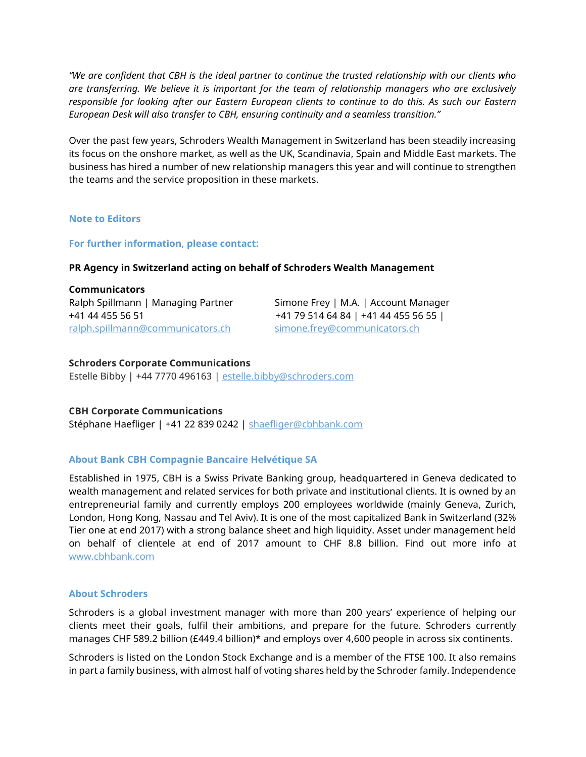"We are confident that CBH is the ideal partner to continue the trusted relationship with our clients who are transferring. We believe it is important for the team of relationship managers who are exclusively responsible for looking after our Eastern European clients to continue to do this. As such our Eastern European Desk will also transfer to CBH, ensuring continuity and a seamless transition."

Over the past few years, Schroders Wealth Management in Switzerland has been steadily increasing its focus on the onshore market, as well as the UK, Scandinavia, Spain and Middle East markets. The business has hired a number of new relationship managers this year and will continue to strengthen the teams and the service proposition in these markets.

### Note to Editors

#### For further information, please contact:

#### PR Agency in Switzerland acting on behalf of Schroders Wealth Management

Communicators Ralph Spillmann | Managing Partner Simone Frey | M.A. | Account Manager ralph.spillmann@communicators.ch simone.frey@communicators.ch

+41 44 455 56 51 +41 79 514 64 84 | +41 44 455 56 55 |

#### Schroders Corporate Communications

Estelle Bibby | +44 7770 496163 | estelle.bibby@schroders.com

#### CBH Corporate Communications

Stéphane Haefliger | +41 22 839 0242 | shaefliger@cbhbank.com

## About Bank CBH Compagnie Bancaire Helvétique SA

Established in 1975, CBH is a Swiss Private Banking group, headquartered in Geneva dedicated to wealth management and related services for both private and institutional clients. It is owned by an entrepreneurial family and currently employs 200 employees worldwide (mainly Geneva, Zurich, London, Hong Kong, Nassau and Tel Aviv). It is one of the most capitalized Bank in Switzerland (32% Tier one at end 2017) with a strong balance sheet and high liquidity. Asset under management held on behalf of clientele at end of 2017 amount to CHF 8.8 billion. Find out more info at www.cbhbank.com

#### About Schroders

Schroders is a global investment manager with more than 200 years' experience of helping our clients meet their goals, fulfil their ambitions, and prepare for the future. Schroders currently manages CHF 589.2 billion (£449.4 billion)\* and employs over 4,600 people in across six continents.

Schroders is listed on the London Stock Exchange and is a member of the FTSE 100. It also remains in part a family business, with almost half of voting shares held by the Schroder family. Independence